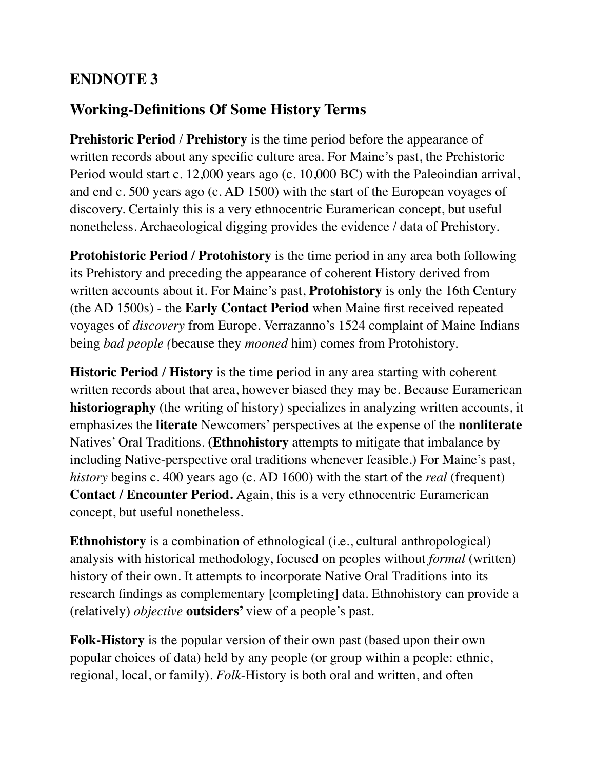## **ENDNOTE 3**

## **Working-Definitions Of Some History Terms**

**Prehistoric Period** / **Prehistory** is the time period before the appearance of written records about any specific culture area. For Maine's past, the Prehistoric Period would start c. 12,000 years ago (c. 10,000 BC) with the Paleoindian arrival, and end c. 500 years ago (c. AD 1500) with the start of the European voyages of discovery. Certainly this is a very ethnocentric Euramerican concept, but useful nonetheless. Archaeological digging provides the evidence / data of Prehistory.

**Protohistoric Period / Protohistory** is the time period in any area both following its Prehistory and preceding the appearance of coherent History derived from written accounts about it. For Maine's past, **Protohistory** is only the 16th Century (the AD 1500s) - the **Early Contact Period** when Maine first received repeated voyages of *discovery* from Europe. Verrazanno's 1524 complaint of Maine Indians being *bad people (*because they *mooned* him) comes from Protohistory.

**Historic Period / History** is the time period in any area starting with coherent written records about that area, however biased they may be. Because Euramerican **historiography** (the writing of history) specializes in analyzing written accounts, it emphasizes the **literate** Newcomers' perspectives at the expense of the **nonliterate**  Natives' Oral Traditions. **(Ethnohistory** attempts to mitigate that imbalance by including Native-perspective oral traditions whenever feasible.) For Maine's past, *history* begins c. 400 years ago (c. AD 1600) with the start of the *real* (frequent) **Contact / Encounter Period.** Again, this is a very ethnocentric Euramerican concept, but useful nonetheless.

**Ethnohistory** is a combination of ethnological (i.e., cultural anthropological) analysis with historical methodology, focused on peoples without *formal* (written) history of their own. It attempts to incorporate Native Oral Traditions into its research findings as complementary [completing] data. Ethnohistory can provide a (relatively) *objective* **outsiders'** view of a people's past.

**Folk-History** is the popular version of their own past (based upon their own popular choices of data) held by any people (or group within a people: ethnic, regional, local, or family). *Folk*-History is both oral and written, and often